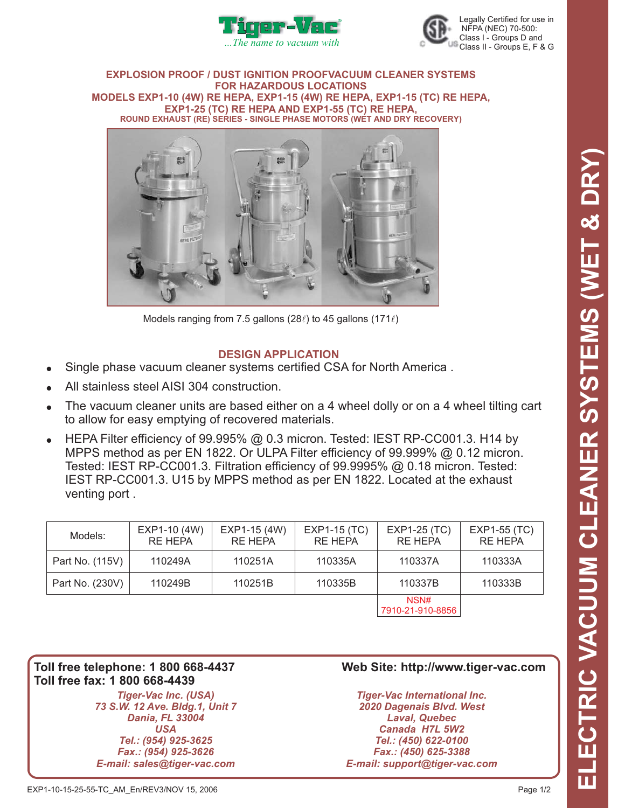



#### **EXPLOSION PROOF / DUST IGNITION PROOFVACUUM CLEANER SYSTEMS FOR HAZARDOUS LOCATIONS EXP1-15 (4W) RE HEPA, EXP1-15 (TC) RE HEPA, MODELS EXP1-10 (4W) RE HEPA, EXP1-25 (TC) RE HEPA AND EXP1-55 (TC) RE HEPA, ROUND EXHAUST (RE) SERIES - SINGLE PHASE MOTORS (WET AND DRY RECOVERY)**



Models ranging from 7.5 gallons (28 $\ell$ ) to 45 gallons (171 $\ell$ )

# **DESIGN APPLICATION**

- $\bullet$ Single phase vacuum cleaner systems certified CSA for North America .
- $\bullet$ All stainless steel AISI 304 construction.
- $\bullet$ The vacuum cleaner units are based either on a 4 wheel dolly or on a 4 wheel tilting cart to allow for easy emptying of recovered materials.
- $\bullet$ HEPA Filter efficiency of 99.995% @ 0.3 micron. Tested: IEST RP-CC001.3. H14 by MPPS method as per EN 1822. Or ULPA Filter efficiency of 99.999% @ 0.12 micron. Tested: IEST RP-CC001.3. Filtration efficiency of 99.9995% @ 0.18 micron. Tested: IEST RP-CC001.3. U15 by MPPS method as per EN 1822. Located at the exhaust venting port .

| Models:         | EXP1-10 (4W)<br><b>RE HEPA</b> | EXP1-15 (4W)<br><b>RE HEPA</b> | <b>EXP1-15 (TC)</b><br><b>RE HEPA</b> | EXP1-25 (TC)<br><b>RE HEPA</b> | EXP1-55 (TC)<br><b>RE HEPA</b> |
|-----------------|--------------------------------|--------------------------------|---------------------------------------|--------------------------------|--------------------------------|
| Part No. (115V) | 110249A                        | 110251A                        | 110335A                               | 110337A                        | 110333A                        |
| Part No. (230V) | 110249B                        | 110251B                        | 110335B                               | 110337B                        | 110333B                        |
|                 |                                |                                |                                       | NSN#<br>7910-21-910-8856       |                                |

**Toll free fax: 1 800 668-4439**

*Tiger-Vac Inc. (USA) 73 S.W. 12 Ave. Bldg.1, Unit 7 Dania, FL 33004 USA Tel.: (954) 925-3625 Fax.: (954) 925-3626 E-mail: sales@tiger-vac.com*

## **Toll free telephone: 1 800 668-4437 Web Site: http://www.tiger-vac.com**

*Tiger-Vac International Inc. 2020 Dagenais Blvd. West Laval, Quebec Canada H7L 5W2 Tel.: (450) 622-0100 Fax.: (450) 625-3388 E-mail: support@tiger-vac.com*